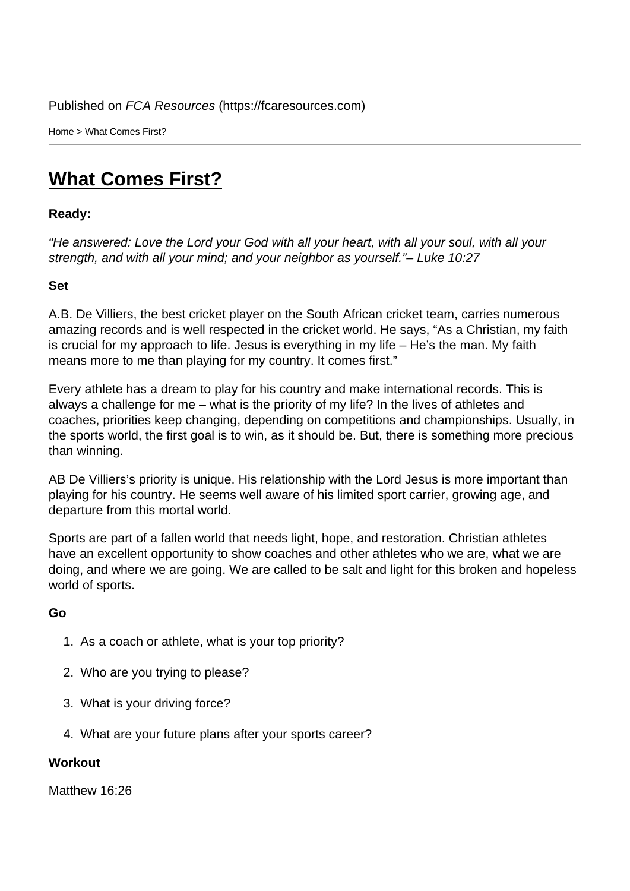Home > What Comes First?

## [Wh](https://fcaresources.com/)at Comes First?

Ready:

["He answered: Love the Lord y](https://fcaresources.com/devotional/what-comes-first)our God with all your heart, with all your soul, with all your strength, and with all your mind; and your neighbor as yourself."– Luke 10:27

Set

A.B. De Villiers, the best cricket player on the South African cricket team, carries numerous amazing records and is well respected in the cricket world. He says, "As a Christian, my faith is crucial for my approach to life. Jesus is everything in my life – He's the man. My faith means more to me than playing for my country. It comes first."

Every athlete has a dream to play for his country and make international records. This is always a challenge for me – what is the priority of my life? In the lives of athletes and coaches, priorities keep changing, depending on competitions and championships. Usually, in the sports world, the first goal is to win, as it should be. But, there is something more precious than winning.

AB De Villiers's priority is unique. His relationship with the Lord Jesus is more important than playing for his country. He seems well aware of his limited sport carrier, growing age, and departure from this mortal world.

Sports are part of a fallen world that needs light, hope, and restoration. Christian athletes have an excellent opportunity to show coaches and other athletes who we are, what we are doing, and where we are going. We are called to be salt and light for this broken and hopeless world of sports.

Go

- 1. As a coach or athlete, what is your top priority?
- 2. Who are you trying to please?
- 3. What is your driving force?
- 4. What are your future plans after your sports career?

**Workout** 

Matthew 16:26